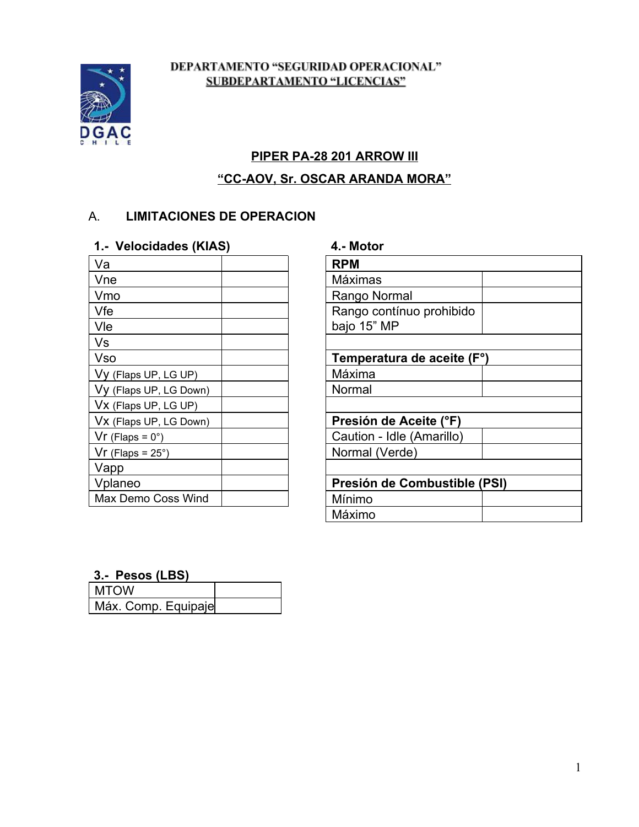

#### DEPARTAMENTO "SEGURIDAD OPERACIONAL" **SUBDEPARTAMENTO "LICENCIAS"**

# **PIPER PA28 201 ARROW III**

# **"CCAOV, Sr. OSCAR ARANDA MORA"**

## A. **LIMITACIONES DE OPERACION**

### **1. Velocidades (KIAS) 4. Motor**

| <b>RPM</b>                   |
|------------------------------|
| Máximas                      |
| Rango Normal                 |
| Rango contínuo prohibido     |
| bajo 15" MP                  |
|                              |
| Temperatura de aceite (F°)   |
| Máxima                       |
| Normal                       |
|                              |
| Presión de Aceite (°F)       |
| Caution - Idle (Amarillo)    |
| Normal (Verde)               |
|                              |
| Presión de Combustible (PSI) |
| Mínimo                       |
|                              |

| <b>RPM</b>                   |  |  |
|------------------------------|--|--|
| Máximas                      |  |  |
| Rango Normal                 |  |  |
| Rango contínuo prohibido     |  |  |
| bajo 15" MP                  |  |  |
|                              |  |  |
| Temperatura de aceite (F°)   |  |  |
| Máxima                       |  |  |
| Normal                       |  |  |
|                              |  |  |
| Presión de Aceite (°F)       |  |  |
| Caution - Idle (Amarillo)    |  |  |
| Normal (Verde)               |  |  |
|                              |  |  |
| Presión de Combustible (PSI) |  |  |
| Mínimo                       |  |  |
| Máximo                       |  |  |

#### **3. Pesos (LBS)**

| l MTOW              |  |
|---------------------|--|
| Máx. Comp. Equipaje |  |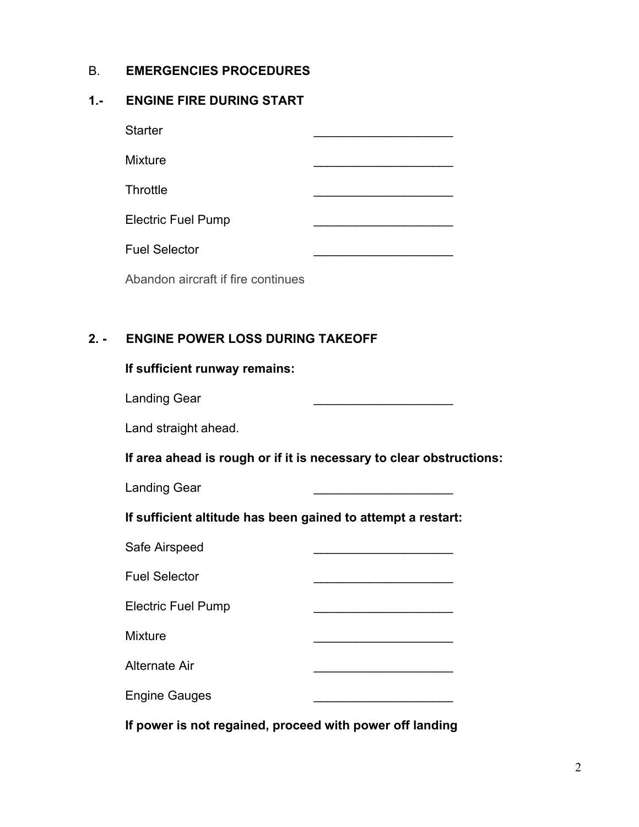#### B. **EMERGENCIES PROCEDURES**

#### **1. ENGINE FIRE DURING START**

| <b>Starter</b>            |  |
|---------------------------|--|
| <b>Mixture</b>            |  |
| Throttle                  |  |
| <b>Electric Fuel Pump</b> |  |
| <b>Fuel Selector</b>      |  |
|                           |  |

Abandon aircraft if fire continues

## **2. ENGINE POWER LOSS DURING TAKEOFF**

| If sufficient runway remains: |  |  |
|-------------------------------|--|--|
|-------------------------------|--|--|

Landing Gear

Land straight ahead.

**If area ahead is rough or if it is necessary to clear obstructions:**

Landing Gear

**If sufficient altitude has been gained to attempt a restart:**

| Safe Airspeed             |  |
|---------------------------|--|
| <b>Fuel Selector</b>      |  |
| <b>Electric Fuel Pump</b> |  |
| <b>Mixture</b>            |  |
| Alternate Air             |  |
| <b>Engine Gauges</b>      |  |
|                           |  |

**If power is not regained, proceed with power off landing**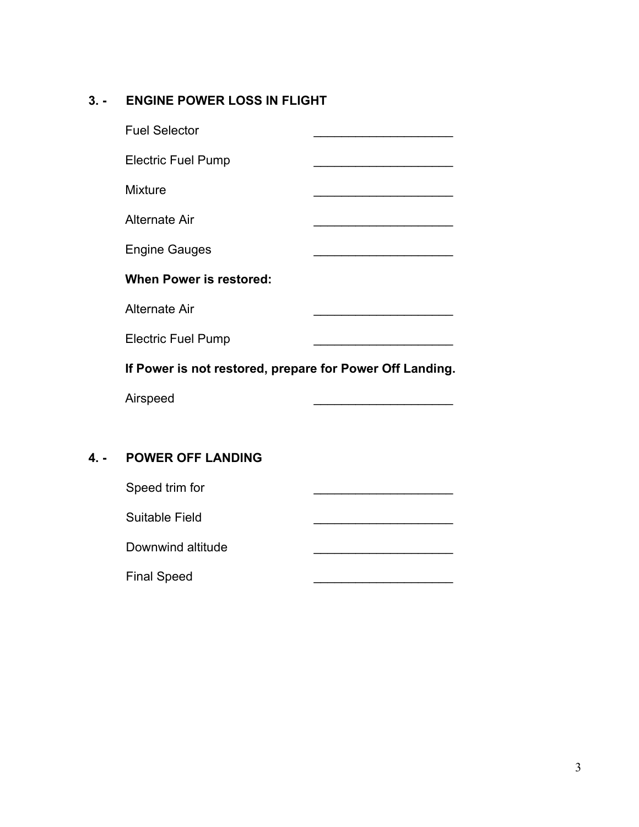# **3. ENGINE POWER LOSS IN FLIGHT**

| <b>Fuel Selector</b>                                     |  |
|----------------------------------------------------------|--|
| <b>Electric Fuel Pump</b>                                |  |
| <b>Mixture</b>                                           |  |
| Alternate Air                                            |  |
| <b>Engine Gauges</b>                                     |  |
| <b>When Power is restored:</b>                           |  |
| Alternate Air                                            |  |
| <b>Electric Fuel Pump</b>                                |  |
| If Power is not restored, prepare for Power Off Landing. |  |
| Airspeed                                                 |  |
|                                                          |  |
|                                                          |  |

# **4. POWER OFF LANDING**

| Speed trim for     |  |
|--------------------|--|
| Suitable Field     |  |
| Downwind altitude  |  |
| <b>Final Speed</b> |  |